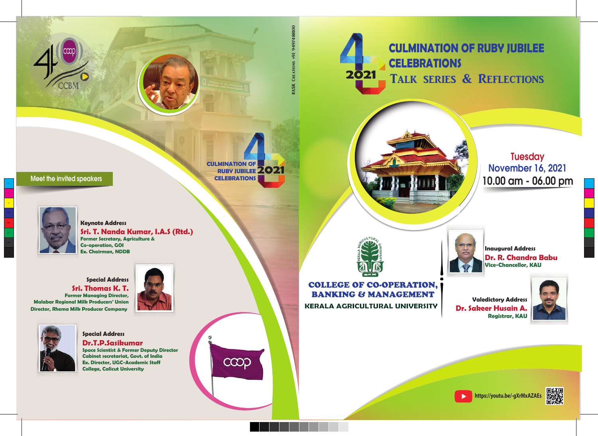# **2021 CULMINATION OF RUBY JUBILEE CELEBRATIONS** TALK SERIES & REFLECTIONS



**Tuesday** November 16, 2021 10.00 am - 06.00 pm



## **KERALA AGRICULTURAL UNIVERSITY** COLLEGE OF CO-OPERATION, BANKING & MANAGEMENT

**Inaugural Address Dr. R. Chandra Babu Vice-Chancellor, KAU**





**Dr. Sakeer Husain A.**



**https://youtu.be/-gXrMxAZAEs**

 $\blacktriangleright$ 



### Meet the invited speakers



Y

MY

**Keynote Address Sri. T. Nanda Kumar, I.A.S (Rtd.) Former Secretary, Agriculture & Co-operation, GOI Ex. Chairman, NDDB**

**Special Address Sri. Thomas K. T. Former Managing Director, Malabar Regional Milk Producers' Union Director, Rhema Milk Producer Company**





**Special Address Dr.T.P.Sasikumar Space Scientist & Former Deputy Director Cabinet secretariat, Govt. of India Ex. Director, UGC-Academic Staff**

**2021 CULMINATION OF RUBY JUBILEE CELEBRATIONS**

ငထာ

#ASK Creations +91 9497488100

0018847666